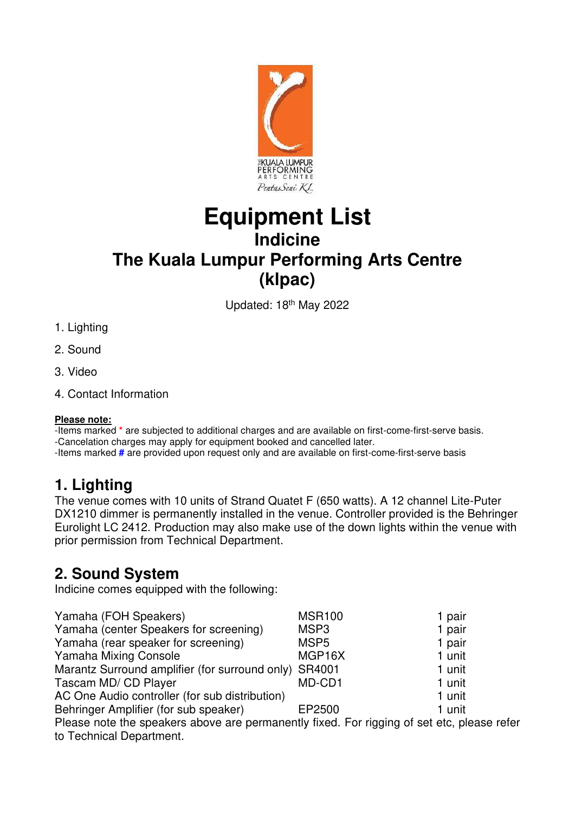

# **Equipment List Indicine The Kuala Lumpur Performing Arts Centre (klpac)**

Updated: 18th May 2022

- 1. Lighting
- 2. Sound
- 3. Video
- 4. Contact Information

#### **Please note:**

-Items marked **\*** are subjected to additional charges and are available on first-come-first-serve basis.

-Cancelation charges may apply for equipment booked and cancelled later.

-Items marked **#** are provided upon request only and are available on first-come-first-serve basis

## **1. Lighting**

The venue comes with 10 units of Strand Quatet F (650 watts). A 12 channel Lite-Puter DX1210 dimmer is permanently installed in the venue. Controller provided is the Behringer Eurolight LC 2412. Production may also make use of the down lights within the venue with prior permission from Technical Department.

## **2. Sound System**

Indicine comes equipped with the following:

| Yamaha (FOH Speakers)                                                                | <b>MSR100</b>       | 1 pair |
|--------------------------------------------------------------------------------------|---------------------|--------|
| Yamaha (center Speakers for screening)                                               | MSP <sub>3</sub>    | 1 pair |
| Yamaha (rear speaker for screening)                                                  | MSP <sub>5</sub>    | 1 pair |
| Yamaha Mixing Console                                                                | MGP <sub>16</sub> X | 1 unit |
| Marantz Surround amplifier (for surround only) SR4001                                |                     | 1 unit |
| Tascam MD/ CD Player                                                                 | MD-CD1              | 1 unit |
| AC One Audio controller (for sub distribution)                                       |                     | 1 unit |
| Behringer Amplifier (for sub speaker)                                                | EP2500              | 1 unit |
| Please note the speakers above are permanently fixed. For rigging of set etc. please |                     |        |

Please note the speakers above are permanently fixed. For rigging of set etc, please refer to Technical Department.